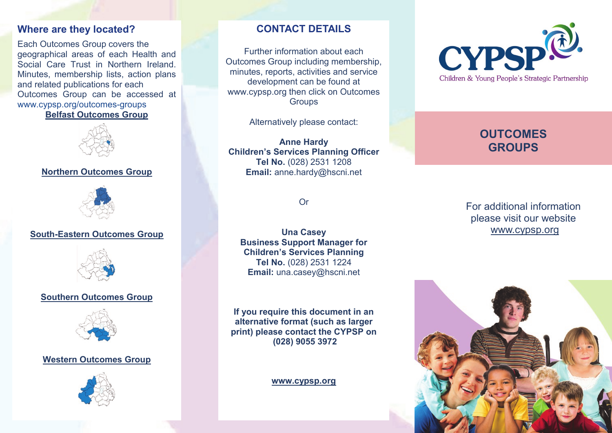### **Where are they located?**

Each Outcomes Group covers the geographical areas of each Health and Social Care Trust in Northern Ireland. Minutes, membership lists, action plans and related publications for each Outcomes Group can be accessed at [www.cypsp.org/outcomes](http://www.cypsp.org/outcomes-groups.htmC:/Documents%20and%20Settings/sthom039/My%20Documents/COMMUNICATIONS)-groups **[Belfast Outcomes Group](http://www.cypsp.org/belfast.htm)**



## **[Northern Outcomes Group](http://www.cypsp.org/northern.htm)**



### **South-[Eastern Outcomes Group](http://www.cypsp.org/southeastern.htm)**



#### **[Southern Outcomes Group](http://www.cypsp.org/southern.htm)**



#### **[Western Outcomes Group](http://www.cypsp.org/western.htm)**



# **CONTACT DETAILS**

Further information about each Outcomes Group including membership, minutes, reports, activities and service development can be found at www.cypsp.org then click on Outcomes **Groups** 

Alternatively please contact:

**Anne Hardy Children's Services Planning Officer Tel No.** (028) 2531 1208 **Email:** anne.hardy@hscni.net

Or

**Una Casey Business Support Manager for Children's Services Planning Tel No.** (028) 2531 1224 **Email:** una.casey@hscni.net

**If you require this document in an alternative format (such as larger print) please contact the CYPSP on (028) 9055 3972** 

**<www.cypsp.org>**



# **OUTCOMES GROUPS**

For additional information please visit our website [www.cypsp.org](http://www.cypsp.org)